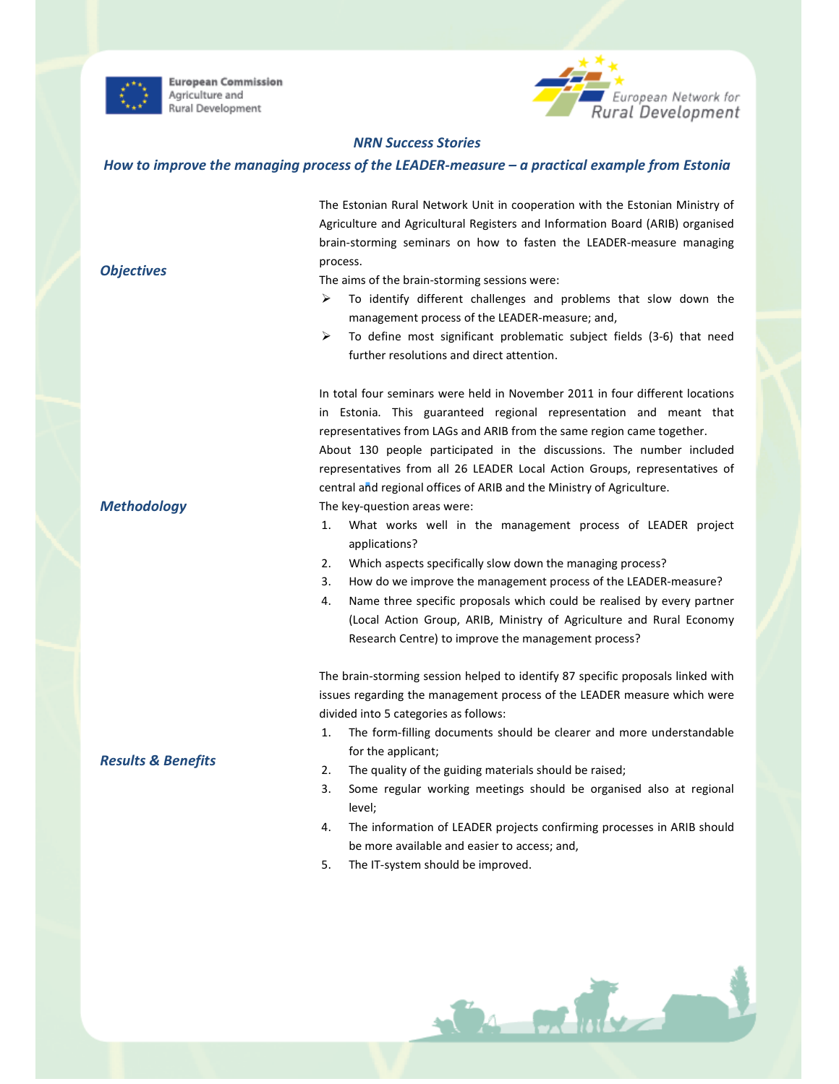

**Objectives** 

**European Commission** Agriculture and Rural Development



## NRN Success Stories

#### How to improve the managing process of the LEADER-measure – a practical example from Estonia

The Estonian Rural Network Unit in cooperation with the Estonian Ministry of Agriculture and Agricultural Registers and Information Board (ARIB) organised brain-storming seminars on how to fasten the LEADER-measure managing process.

The aims of the brain-storming sessions were:

- To identify different challenges and problems that slow down the management process of the LEADER-measure; and,
- $\triangleright$  To define most significant problematic subject fields (3-6) that need further resolutions and direct attention.

In total four seminars were held in November 2011 in four different locations in Estonia. This guaranteed regional representation and meant that representatives from LAGs and ARIB from the same region came together. About 130 people participated in the discussions. The number included representatives from all 26 LEADER Local Action Groups, representatives of central and regional offices of ARIB and the Ministry of Agriculture.

The key-question areas were:

- 1. What works well in the management process of LEADER project applications?
- 2. Which aspects specifically slow down the managing process?
- 3. How do we improve the management process of the LEADER-measure?
- 4. Name three specific proposals which could be realised by every partner (Local Action Group, ARIB, Ministry of Agriculture and Rural Economy Research Centre) to improve the management process?

The brain-storming session helped to identify 87 specific proposals linked with issues regarding the management process of the LEADER measure which were divided into 5 categories as follows:

- 1. The form-filling documents should be clearer and more understandable for the applicant;
- 2. The quality of the guiding materials should be raised;
- 3. Some regular working meetings should be organised also at regional level;
- 4. The information of LEADER projects confirming processes in ARIB should be more available and easier to access; and,

CA FRIDE

5. The IT-system should be improved.

**Methodology** 

## Results & Benefits